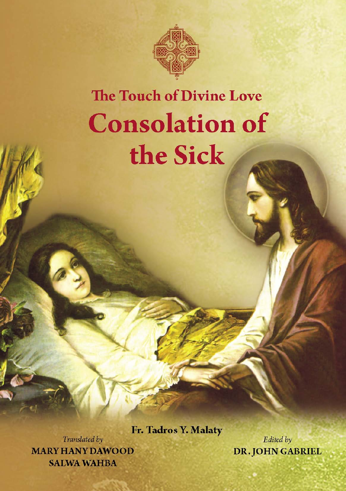

# **The Touch of Divine Love Consolation of** the Sick

Fr. Tadros Y. Malaty

Translated by **MARY HANY DAWOOD SALWA WAHBA** 

Edited by **DR. JOHN GABRIEL**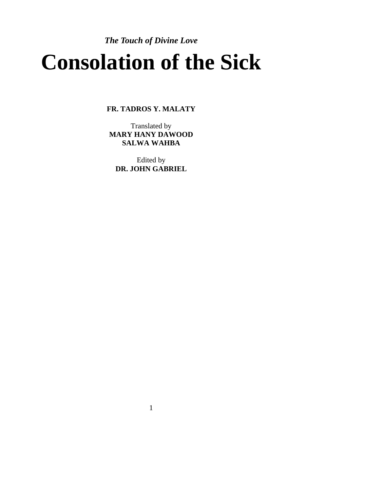# *The Touch of Divine Love*  **Consolation of the Sick**

**FR. TADROS Y. MALATY**

Translated by **MARY HANY DAWOOD SALWA WAHBA** 

Edited by **DR. JOHN GABRIEL** 

1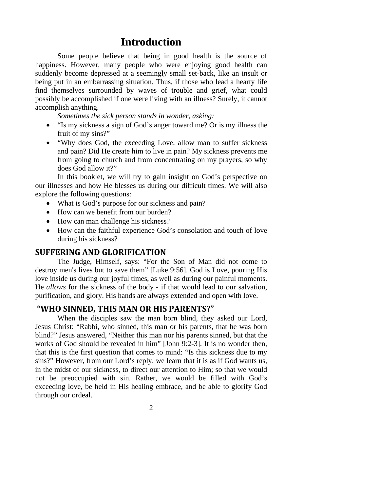# **Introduction**

Some people believe that being in good health is the source of happiness. However, many people who were enjoying good health can suddenly become depressed at a seemingly small set-back, like an insult or being put in an embarrassing situation. Thus, if those who lead a hearty life find themselves surrounded by waves of trouble and grief, what could possibly be accomplished if one were living with an illness? Surely, it cannot accomplish anything.

*Sometimes the sick person stands in wonder, asking:* 

- "Is my sickness a sign of God's anger toward me? Or is my illness the fruit of my sins?"
- "Why does God, the exceeding Love, allow man to suffer sickness and pain? Did He create him to live in pain? My sickness prevents me from going to church and from concentrating on my prayers, so why does God allow it?"

In this booklet, we will try to gain insight on God's perspective on our illnesses and how He blesses us during our difficult times. We will also explore the following questions:

- What is God's purpose for our sickness and pain?
- How can we benefit from our burden?
- How can man challenge his sickness?
- How can the faithful experience God's consolation and touch of love during his sickness?

#### **SUFFERING AND GLORIFICATION**

The Judge, Himself, says: "For the Son of Man did not come to destroy men's lives but to save them" [Luke 9:56]. God is Love, pouring His love inside us during our joyful times, as well as during our painful moments. He *allows* for the sickness of the body - if that would lead to our salvation, purification, and glory. His hands are always extended and open with love.

#### **"WHO SINNED, THIS MAN OR HIS PARENTS?"**

When the disciples saw the man born blind, they asked our Lord, Jesus Christ: "Rabbi, who sinned, this man or his parents, that he was born blind?" Jesus answered, "Neither this man nor his parents sinned, but that the works of God should be revealed in him" [John 9:2-3]. It is no wonder then, that this is the first question that comes to mind: "Is this sickness due to my sins?" However, from our Lord's reply, we learn that it is as if God wants us, in the midst of our sickness, to direct our attention to Him; so that we would not be preoccupied with sin. Rather, we would be filled with God's exceeding love, be held in His healing embrace, and be able to glorify God through our ordeal.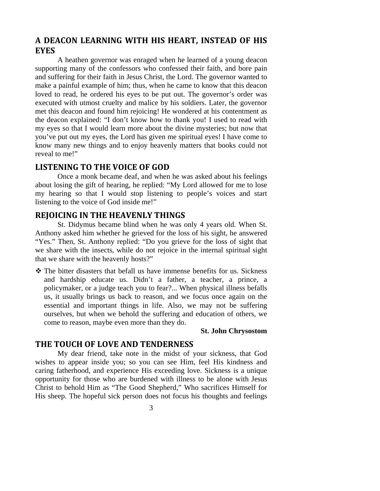### **A DEACON LEARNING WITH HIS HEART, INSTEAD OF HIS EYES**

A heathen governor was enraged when he learned of a young deacon supporting many of the confessors who confessed their faith, and bore pain and suffering for their faith in Jesus Christ, the Lord. The governor wanted to make a painful example of him; thus, when he came to know that this deacon loved to read, he ordered his eyes to be put out. The governor's order was executed with utmost cruelty and malice by his soldiers. Later, the governor met this deacon and found him rejoicing! He wondered at his contentment as the deacon explained: "I don't know how to thank you! I used to read with my eyes so that I would learn more about the divine mysteries; but now that you've put out my eyes, the Lord has given me spiritual eyes! I have come to know many new things and to enjoy heavenly matters that books could not reveal to me!"

#### **LISTENING TO THE VOICE OF GOD**

Once a monk became deaf, and when he was asked about his feelings about losing the gift of hearing, he replied: "My Lord allowed for me to lose my hearing so that I would stop listening to people's voices and start listening to the voice of God inside me!"

#### **REJOICING IN THE HEAVENLY THINGS**

St. Didymus became blind when he was only 4 years old. When St. Anthony asked him whether he grieved for the loss of his sight, he answered "Yes." Then, St. Anthony replied: "Do you grieve for the loss of sight that we share with the insects, while do not rejoice in the internal spiritual sight that we share with the heavenly hosts?"

 The bitter disasters that befall us have immense benefits for us. Sickness and hardship educate us. Didn't a father, a teacher, a prince, a policymaker, or a judge teach you to fear?... When physical illness befalls us, it usually brings us back to reason, and we focus once again on the essential and important things in life. Also, we may not be suffering ourselves, but when we behold the suffering and education of others, we come to reason, maybe even more than they do.

#### **St. John Chrysostom**

#### **THE TOUCH OF LOVE AND TENDERNESS**

My dear friend, take note in the midst of your sickness, that God wishes to appear inside you; so you can see Him, feel His kindness and caring fatherhood, and experience His exceeding love. Sickness is a unique opportunity for those who are burdened with illness to be alone with Jesus Christ to behold Him as "The Good Shepherd," Who sacrifices Himself for His sheep. The hopeful sick person does not focus his thoughts and feelings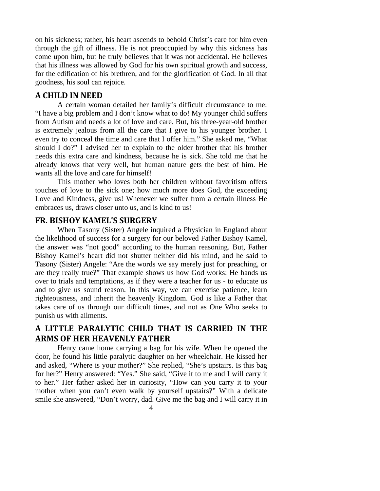on his sickness; rather, his heart ascends to behold Christ's care for him even through the gift of illness. He is not preoccupied by why this sickness has come upon him, but he truly believes that it was not accidental. He believes that his illness was allowed by God for his own spiritual growth and success, for the edification of his brethren, and for the glorification of God. In all that goodness, his soul can rejoice.

#### **A CHILD IN NEED**

A certain woman detailed her family's difficult circumstance to me: "I have a big problem and I don't know what to do! My younger child suffers from Autism and needs a lot of love and care. But, his three-year-old brother is extremely jealous from all the care that I give to his younger brother. I even try to conceal the time and care that I offer him." She asked me, "What should I do?" I advised her to explain to the older brother that his brother needs this extra care and kindness, because he is sick. She told me that he already knows that very well, but human nature gets the best of him. He wants all the love and care for himself!

This mother who loves both her children without favoritism offers touches of love to the sick one; how much more does God, the exceeding Love and Kindness, give us! Whenever we suffer from a certain illness He embraces us, draws closer unto us, and is kind to us!

#### **FR. BISHOY KAMEL'S SURGERY**

When Tasony (Sister) Angele inquired a Physician in England about the likelihood of success for a surgery for our beloved Father Bishoy Kamel, the answer was "not good" according to the human reasoning. But, Father Bishoy Kamel's heart did not shutter neither did his mind, and he said to Tasony (Sister) Angele: "Are the words we say merely just for preaching, or are they really true?" That example shows us how God works: He hands us over to trials and temptations, as if they were a teacher for us - to educate us and to give us sound reason. In this way, we can exercise patience, learn righteousness, and inherit the heavenly Kingdom. God is like a Father that takes care of us through our difficult times, and not as One Who seeks to punish us with ailments.

## **A LITTLE PARALYTIC CHILD THAT IS CARRIED IN THE ARMS OF HER HEAVENLY FATHER**

Henry came home carrying a bag for his wife. When he opened the door, he found his little paralytic daughter on her wheelchair. He kissed her and asked, "Where is your mother?" She replied, "She's upstairs. Is this bag for her?" Henry answered: "Yes." She said, "Give it to me and I will carry it to her." Her father asked her in curiosity, "How can you carry it to your mother when you can't even walk by yourself upstairs?" With a delicate smile she answered, "Don't worry, dad. Give me the bag and I will carry it in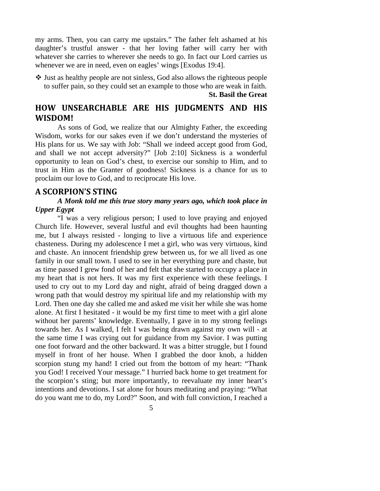my arms. Then, you can carry me upstairs." The father felt ashamed at his daughter's trustful answer - that her loving father will carry her with whatever she carries to wherever she needs to go. In fact our Lord carries us whenever we are in need, even on eagles' wings [Exodus 19:4].

 Just as healthy people are not sinless, God also allows the righteous people to suffer pain, so they could set an example to those who are weak in faith.

**St. Basil the Great** 

# **HOW UNSEARCHABLE ARE HIS JUDGMENTS AND HIS WISDOM!**

As sons of God, we realize that our Almighty Father, the exceeding Wisdom, works for our sakes even if we don't understand the mysteries of His plans for us. We say with Job: "Shall we indeed accept good from God, and shall we not accept adversity?" [Job 2:10] Sickness is a wonderful opportunity to lean on God's chest, to exercise our sonship to Him, and to trust in Him as the Granter of goodness! Sickness is a chance for us to proclaim our love to God, and to reciprocate His love.

#### **A SCORPION'S STING**

#### *A Monk told me this true story many years ago, which took place in Upper Egypt*

"I was a very religious person; I used to love praying and enjoyed Church life. However, several lustful and evil thoughts had been haunting me, but I always resisted - longing to live a virtuous life and experience chasteness. During my adolescence I met a girl, who was very virtuous, kind and chaste. An innocent friendship grew between us, for we all lived as one family in our small town. I used to see in her everything pure and chaste, but as time passed I grew fond of her and felt that she started to occupy a place in my heart that is not hers. It was my first experience with these feelings. I used to cry out to my Lord day and night, afraid of being dragged down a wrong path that would destroy my spiritual life and my relationship with my Lord. Then one day she called me and asked me visit her while she was home alone. At first I hesitated - it would be my first time to meet with a girl alone without her parents' knowledge. Eventually, I gave in to my strong feelings towards her. As I walked, I felt I was being drawn against my own will - at the same time I was crying out for guidance from my Savior. I was putting one foot forward and the other backward. It was a bitter struggle, but I found myself in front of her house. When I grabbed the door knob, a hidden scorpion stung my hand! I cried out from the bottom of my heart: "Thank you God! I received Your message." I hurried back home to get treatment for the scorpion's sting; but more importantly, to reevaluate my inner heart's intentions and devotions. I sat alone for hours meditating and praying: "What do you want me to do, my Lord?" Soon, and with full conviction, I reached a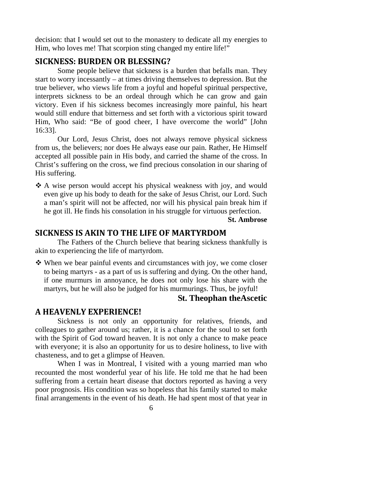decision: that I would set out to the monastery to dedicate all my energies to Him, who loves me! That scorpion sting changed my entire life!"

#### **SICKNESS: BURDEN OR BLESSING?**

Some people believe that sickness is a burden that befalls man. They start to worry incessantly – at times driving themselves to depression. But the true believer, who views life from a joyful and hopeful spiritual perspective, interprets sickness to be an ordeal through which he can grow and gain victory. Even if his sickness becomes increasingly more painful, his heart would still endure that bitterness and set forth with a victorious spirit toward Him, Who said: "Be of good cheer, I have overcome the world" [John 16:33].

Our Lord, Jesus Christ, does not always remove physical sickness from us, the believers; nor does He always ease our pain. Rather, He Himself accepted all possible pain in His body, and carried the shame of the cross. In Christ's suffering on the cross, we find precious consolation in our sharing of His suffering.

 A wise person would accept his physical weakness with joy, and would even give up his body to death for the sake of Jesus Christ, our Lord. Such a man's spirit will not be affected, nor will his physical pain break him if he got ill. He finds his consolation in his struggle for virtuous perfection.

**St. Ambrose**

#### **SICKNESS IS AKIN TO THE LIFE OF MARTYRDOM**

The Fathers of the Church believe that bearing sickness thankfully is akin to experiencing the life of martyrdom.

 When we bear painful events and circumstances with joy, we come closer to being martyrs - as a part of us is suffering and dying. On the other hand, if one murmurs in annoyance, he does not only lose his share with the martyrs, but he will also be judged for his murmurings. Thus, be joyful!

#### **St. Theophan theAscetic**

#### **A HEAVENLY EXPERIENCE!**

Sickness is not only an opportunity for relatives, friends, and colleagues to gather around us; rather, it is a chance for the soul to set forth with the Spirit of God toward heaven. It is not only a chance to make peace with everyone; it is also an opportunity for us to desire holiness, to live with chasteness, and to get a glimpse of Heaven.

When I was in Montreal, I visited with a young married man who recounted the most wonderful year of his life. He told me that he had been suffering from a certain heart disease that doctors reported as having a very poor prognosis. His condition was so hopeless that his family started to make final arrangements in the event of his death. He had spent most of that year in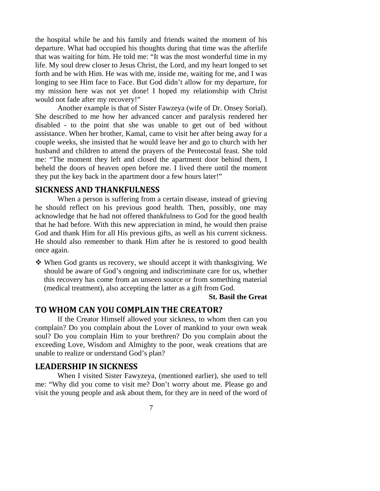the hospital while he and his family and friends waited the moment of his departure. What had occupied his thoughts during that time was the afterlife that was waiting for him. He told me: "It was the most wonderful time in my life. My soul drew closer to Jesus Christ, the Lord, and my heart longed to set forth and be with Him. He was with me, inside me, waiting for me, and I was longing to see Him face to Face. But God didn't allow for my departure, for my mission here was not yet done! I hoped my relationship with Christ would not fade after my recovery!"

Another example is that of Sister Fawzeya (wife of Dr. Onsey Sorial). She described to me how her advanced cancer and paralysis rendered her disabled - to the point that she was unable to get out of bed without assistance. When her brother, Kamal, came to visit her after being away for a couple weeks, she insisted that he would leave her and go to church with her husband and children to attend the prayers of the Pentecostal feast. She told me: "The moment they left and closed the apartment door behind them, I beheld the doors of heaven open before me. I lived there until the moment they put the key back in the apartment door a few hours later!"

#### **SICKNESS AND THANKFULNESS**

When a person is suffering from a certain disease, instead of grieving he should reflect on his previous good health. Then, possibly, one may acknowledge that he had not offered thankfulness to God for the good health that he had before. With this new appreciation in mind, he would then praise God and thank Him for all His previous gifts, as well as his current sickness. He should also remember to thank Him after he is restored to good health once again.

 When God grants us recovery, we should accept it with thanksgiving. We should be aware of God's ongoing and indiscriminate care for us, whether this recovery has come from an unseen source or from something material (medical treatment), also accepting the latter as a gift from God.

**St. Basil the Great**

#### **TO WHOM CAN YOU COMPLAIN THE CREATOR?**

If the Creator Himself allowed your sickness, to whom then can you complain? Do you complain about the Lover of mankind to your own weak soul? Do you complain Him to your brethren? Do you complain about the exceeding Love, Wisdom and Almighty to the poor, weak creations that are unable to realize or understand God's plan?

#### **LEADERSHIP IN SICKNESS**

When I visited Sister Fawyzeya, (mentioned earlier), she used to tell me: "Why did you come to visit me? Don't worry about me. Please go and visit the young people and ask about them, for they are in need of the word of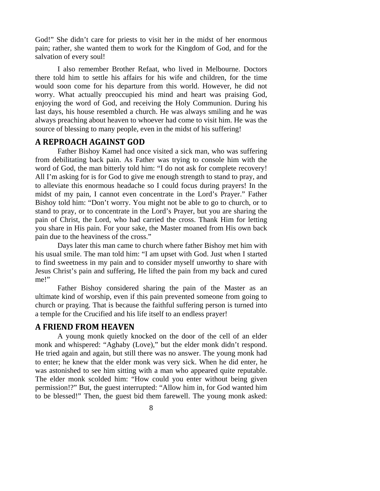God!" She didn't care for priests to visit her in the midst of her enormous pain; rather, she wanted them to work for the Kingdom of God, and for the salvation of every soul!

I also remember Brother Refaat, who lived in Melbourne. Doctors there told him to settle his affairs for his wife and children, for the time would soon come for his departure from this world. However, he did not worry. What actually preoccupied his mind and heart was praising God, enjoying the word of God, and receiving the Holy Communion. During his last days, his house resembled a church. He was always smiling and he was always preaching about heaven to whoever had come to visit him. He was the source of blessing to many people, even in the midst of his suffering!

#### **A REPROACH AGAINST GOD**

Father Bishoy Kamel had once visited a sick man, who was suffering from debilitating back pain. As Father was trying to console him with the word of God, the man bitterly told him: "I do not ask for complete recovery! All I'm asking for is for God to give me enough strength to stand to pray, and to alleviate this enormous headache so I could focus during prayers! In the midst of my pain, I cannot even concentrate in the Lord's Prayer." Father Bishoy told him: "Don't worry. You might not be able to go to church, or to stand to pray, or to concentrate in the Lord's Prayer, but you are sharing the pain of Christ, the Lord, who had carried the cross. Thank Him for letting you share in His pain. For your sake, the Master moaned from His own back pain due to the heaviness of the cross."

Days later this man came to church where father Bishoy met him with his usual smile. The man told him: "I am upset with God. Just when I started to find sweetness in my pain and to consider myself unworthy to share with Jesus Christ's pain and suffering, He lifted the pain from my back and cured me!"

Father Bishoy considered sharing the pain of the Master as an ultimate kind of worship, even if this pain prevented someone from going to church or praying. That is because the faithful suffering person is turned into a temple for the Crucified and his life itself to an endless prayer!

#### **A FRIEND FROM HEAVEN**

A young monk quietly knocked on the door of the cell of an elder monk and whispered: "Aghaby (Love)," but the elder monk didn't respond. He tried again and again, but still there was no answer. The young monk had to enter; he knew that the elder monk was very sick. When he did enter, he was astonished to see him sitting with a man who appeared quite reputable. The elder monk scolded him: "How could you enter without being given permission!?" But, the guest interrupted: "Allow him in, for God wanted him to be blessed!" Then, the guest bid them farewell. The young monk asked: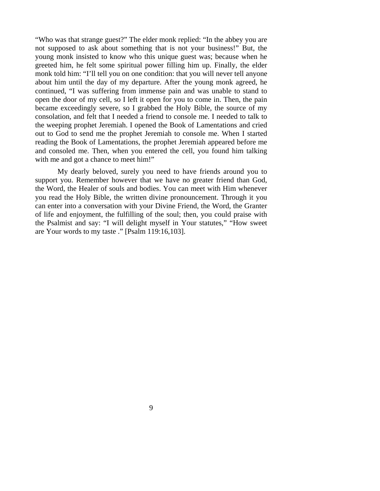"Who was that strange guest?" The elder monk replied: "In the abbey you are not supposed to ask about something that is not your business!" But, the young monk insisted to know who this unique guest was; because when he greeted him, he felt some spiritual power filling him up. Finally, the elder monk told him: "I'll tell you on one condition: that you will never tell anyone about him until the day of my departure. After the young monk agreed, he continued, "I was suffering from immense pain and was unable to stand to open the door of my cell, so I left it open for you to come in. Then, the pain became exceedingly severe, so I grabbed the Holy Bible, the source of my consolation, and felt that I needed a friend to console me. I needed to talk to the weeping prophet Jeremiah. I opened the Book of Lamentations and cried out to God to send me the prophet Jeremiah to console me. When I started reading the Book of Lamentations, the prophet Jeremiah appeared before me and consoled me. Then, when you entered the cell, you found him talking with me and got a chance to meet him!"

My dearly beloved, surely you need to have friends around you to support you. Remember however that we have no greater friend than God, the Word, the Healer of souls and bodies. You can meet with Him whenever you read the Holy Bible, the written divine pronouncement. Through it you can enter into a conversation with your Divine Friend, the Word, the Granter of life and enjoyment, the fulfilling of the soul; then, you could praise with the Psalmist and say: "I will delight myself in Your statutes," "How sweet are Your words to my taste ." [Psalm 119:16,103].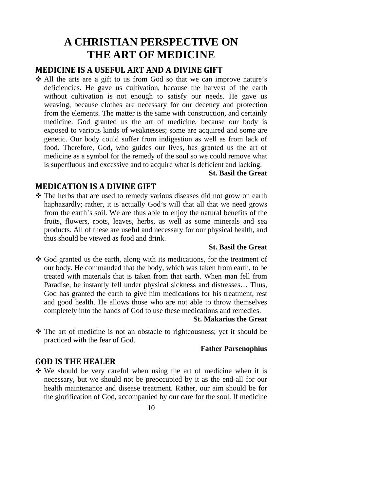# **A CHRISTIAN PERSPECTIVE ON THE ART OF MEDICINE**

#### **MEDICINE IS A USEFUL ART AND A DIVINE GIFT**

 All the arts are a gift to us from God so that we can improve nature's deficiencies. He gave us cultivation, because the harvest of the earth without cultivation is not enough to satisfy our needs. He gave us weaving, because clothes are necessary for our decency and protection from the elements. The matter is the same with construction, and certainly medicine. God granted us the art of medicine, because our body is exposed to various kinds of weaknesses; some are acquired and some are genetic. Our body could suffer from indigestion as well as from lack of food. Therefore, God, who guides our lives, has granted us the art of medicine as a symbol for the remedy of the soul so we could remove what is superfluous and excessive and to acquire what is deficient and lacking.

#### **St. Basil the Great**

#### **MEDICATION IS A DIVINE GIFT**

 The herbs that are used to remedy various diseases did not grow on earth haphazardly; rather, it is actually God's will that all that we need grows from the earth's soil. We are thus able to enjoy the natural benefits of the fruits, flowers, roots, leaves, herbs, as well as some minerals and sea products. All of these are useful and necessary for our physical health, and thus should be viewed as food and drink.

#### **St. Basil the Great**

 God granted us the earth, along with its medications, for the treatment of our body. He commanded that the body, which was taken from earth, to be treated with materials that is taken from that earth. When man fell from Paradise, he instantly fell under physical sickness and distresses… Thus, God has granted the earth to give him medications for his treatment, rest and good health. He allows those who are not able to throw themselves completely into the hands of God to use these medications and remedies.

#### **St. Makarius the Great**

 The art of medicine is not an obstacle to righteousness; yet it should be practiced with the fear of God.

#### **Father Parsenophius**

### **GOD IS THE HEALER**

 We should be very careful when using the art of medicine when it is necessary, but we should not be preoccupied by it as the end-all for our health maintenance and disease treatment. Rather, our aim should be for the glorification of God, accompanied by our care for the soul. If medicine